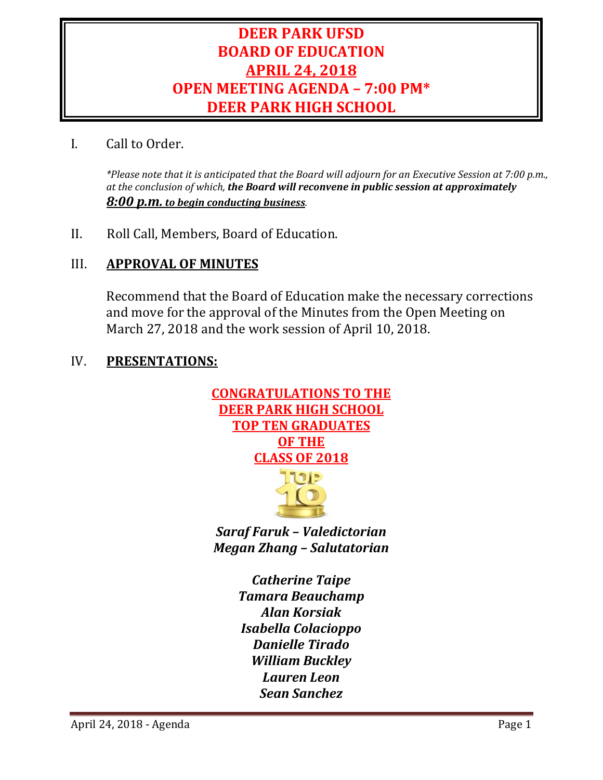# **DEER PARK UFSD BOARD OF EDUCATION APRIL 24, 2018 OPEN MEETING AGENDA – 7:00 PM\* DEER PARK HIGH SCHOOL**

## I. Call to Order.

*\*Please note that it is anticipated that the Board will adjourn for an Executive Session at 7:00 p.m., at the conclusion of which, the Board will reconvene in public session at approximately 8:00 p.m. to begin conducting business.*

II. Roll Call, Members, Board of Education.

## III. **APPROVAL OF MINUTES**

Recommend that the Board of Education make the necessary corrections and move for the approval of the Minutes from the Open Meeting on March 27, 2018 and the work session of April 10, 2018.

## IV. **PRESENTATIONS:**





*Saraf Faruk – Valedictorian Megan Zhang – Salutatorian*

> *Catherine Taipe Tamara Beauchamp Alan Korsiak Isabella Colacioppo Danielle Tirado William Buckley Lauren Leon Sean Sanchez*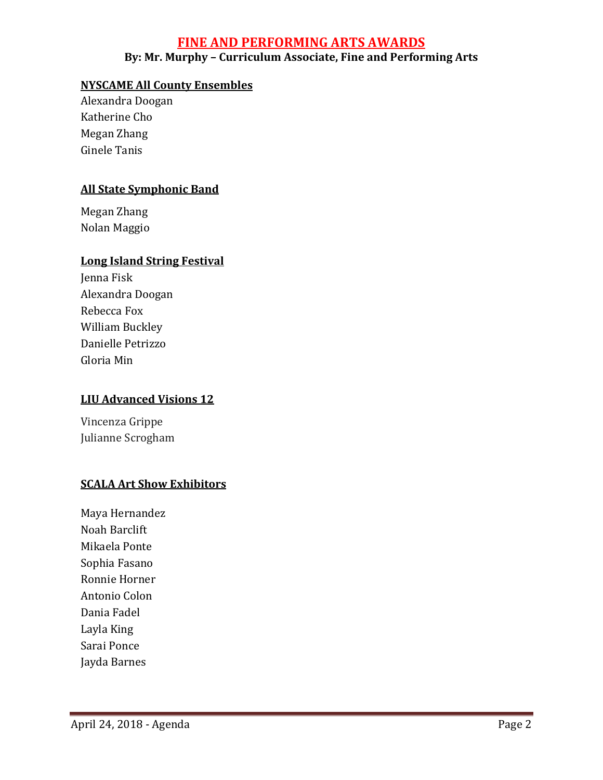## **FINE AND PERFORMING ARTS AWARDS By: Mr. Murphy – Curriculum Associate, Fine and Performing Arts**

## **NYSCAME All County Ensembles**

Alexandra Doogan Katherine Cho Megan Zhang Ginele Tanis

## **All State Symphonic Band**

Megan Zhang Nolan Maggio

#### **Long Island String Festival**

Jenna Fisk Alexandra Doogan Rebecca Fox William Buckley Danielle Petrizzo Gloria Min

#### **LIU Advanced Visions 12**

Vincenza Grippe Julianne Scrogham

## **SCALA Art Show Exhibitors**

Maya Hernandez Noah Barclift Mikaela Ponte Sophia Fasano Ronnie Horner Antonio Colon Dania Fadel Layla King Sarai Ponce Jayda Barnes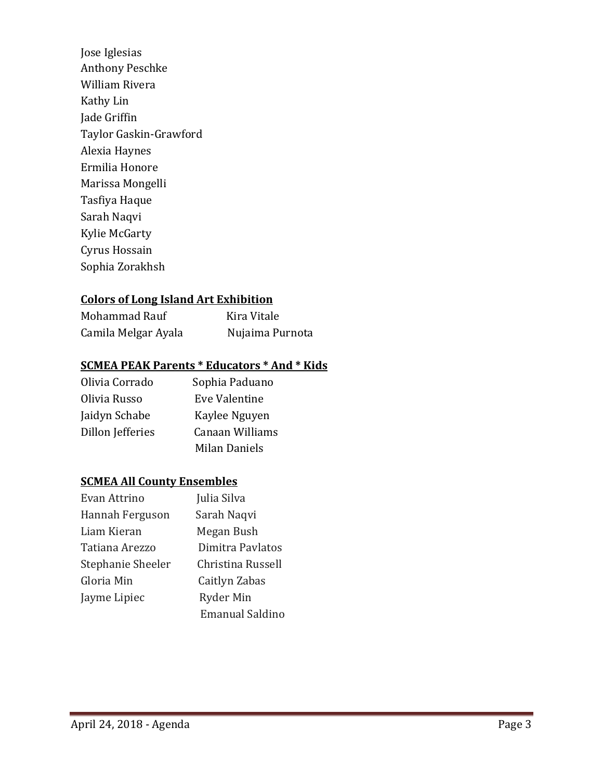Jose Iglesias Anthony Peschke William Rivera Kathy Lin Jade Griffin Taylor Gaskin-Grawford Alexia Haynes Ermilia Honore Marissa Mongelli Tasfiya Haque Sarah Naqvi Kylie McGarty Cyrus Hossain Sophia Zorakhsh

## **Colors of Long Island Art Exhibition**

| Mohammad Rauf       | Kira Vitale     |
|---------------------|-----------------|
| Camila Melgar Ayala | Nujaima Purnota |

## **SCMEA PEAK Parents \* Educators \* And \* Kids**

| Sophia Paduano  |
|-----------------|
| Eve Valentine   |
| Kaylee Nguyen   |
| Canaan Williams |
| Milan Daniels   |
|                 |

## **SCMEA All County Ensembles**

| Evan Attrino      | Julia Silva            |
|-------------------|------------------------|
| Hannah Ferguson   | Sarah Naqvi            |
| Liam Kieran       | Megan Bush             |
| Tatiana Arezzo    | Dimitra Pavlatos       |
| Stephanie Sheeler | Christina Russell      |
| Gloria Min        | Caitlyn Zabas          |
| Jayme Lipiec      | Ryder Min              |
|                   | <b>Emanual Saldino</b> |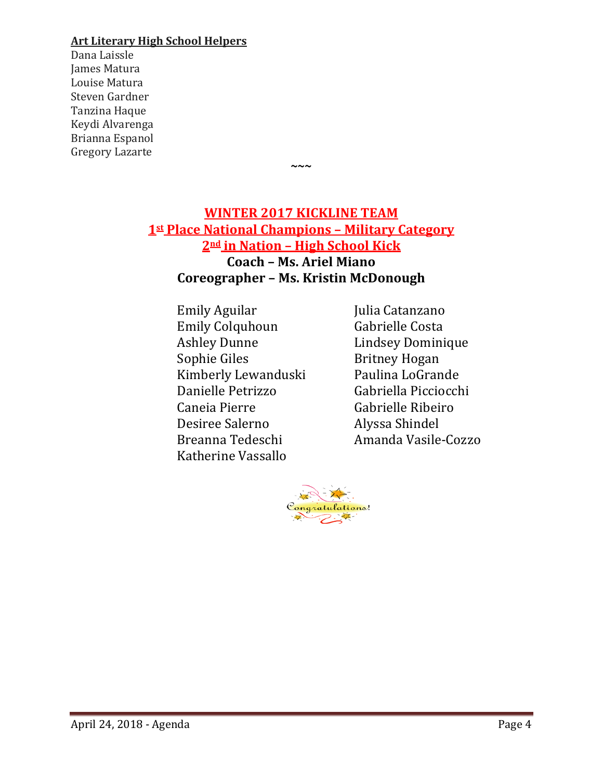#### **Art Literary High School Helpers**

Dana Laissle James Matura Louise Matura Steven Gardner Tanzina Haque Keydi Alvarenga Brianna Espanol Gregory Lazarte

## **WINTER 2017 KICKLINE TEAM 1st Place National Champions – Military Category 2nd in Nation – High School Kick Coach – Ms. Ariel Miano Coreographer – Ms. Kristin McDonough**

**~~~**

Emily Aguilar Julia Catanzano<br>
Emily Colquhoun Gabrielle Costa Emily Colquhoun<br>Ashley Dunne Ashley Dunne Lindsey Dominique<br>
Sophie Giles Britney Hogan Kimberly Lewanduski<br>Danielle Petrizzo Danielle Petrizzo Gabriella Picciocchi Desiree Salerno<br>Breanna Tedeschi Katherine Vassallo

Britney Hogan<br>Paulina LoGrande Gabrielle Ribeiro<br>Alvssa Shindel Amanda Vasile-Cozzo

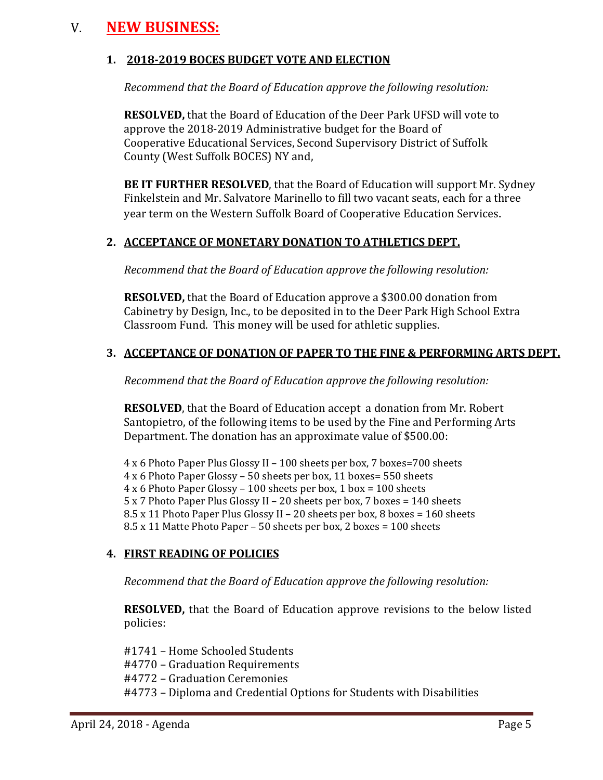# V. **NEW BUSINESS:**

## **1. 2018-2019 BOCES BUDGET VOTE AND ELECTION**

*Recommend that the Board of Education approve the following resolution:*

**RESOLVED,** that the Board of Education of the Deer Park UFSD will vote to approve the 2018-2019 Administrative budget for the Board of Cooperative Educational Services, Second Supervisory District of Suffolk County (West Suffolk BOCES) NY and,

**BE IT FURTHER RESOLVED**, that the Board of Education will support Mr. Sydney Finkelstein and Mr. Salvatore Marinello to fill two vacant seats, each for a three year term on the Western Suffolk Board of Cooperative Education Services.

#### **2. ACCEPTANCE OF MONETARY DONATION TO ATHLETICS DEPT.**

*Recommend that the Board of Education approve the following resolution:*

**RESOLVED,** that the Board of Education approve a \$300.00 donation from Cabinetry by Design, Inc., to be deposited in to the Deer Park High School Extra Classroom Fund. This money will be used for athletic supplies.

## **3. ACCEPTANCE OF DONATION OF PAPER TO THE FINE & PERFORMING ARTS DEPT.**

*Recommend that the Board of Education approve the following resolution:*

**RESOLVED**, that the Board of Education accept a donation from Mr. Robert Santopietro, of the following items to be used by the Fine and Performing Arts Department. The donation has an approximate value of \$500.00:

4 x 6 Photo Paper Plus Glossy II – 100 sheets per box, 7 boxes=700 sheets 4 x 6 Photo Paper Glossy – 50 sheets per box, 11 boxes= 550 sheets 4 x 6 Photo Paper Glossy – 100 sheets per box, 1 box = 100 sheets 5 x 7 Photo Paper Plus Glossy II – 20 sheets per box, 7 boxes = 140 sheets 8.5 x 11 Photo Paper Plus Glossy II – 20 sheets per box, 8 boxes = 160 sheets 8.5 x 11 Matte Photo Paper – 50 sheets per box, 2 boxes = 100 sheets

#### **4. FIRST READING OF POLICIES**

*Recommend that the Board of Education approve the following resolution:*

**RESOLVED,** that the Board of Education approve revisions to the below listed policies:

#1741 – Home Schooled Students #4770 – Graduation Requirements #4772 – Graduation Ceremonies #4773 – Diploma and Credential Options for Students with Disabilities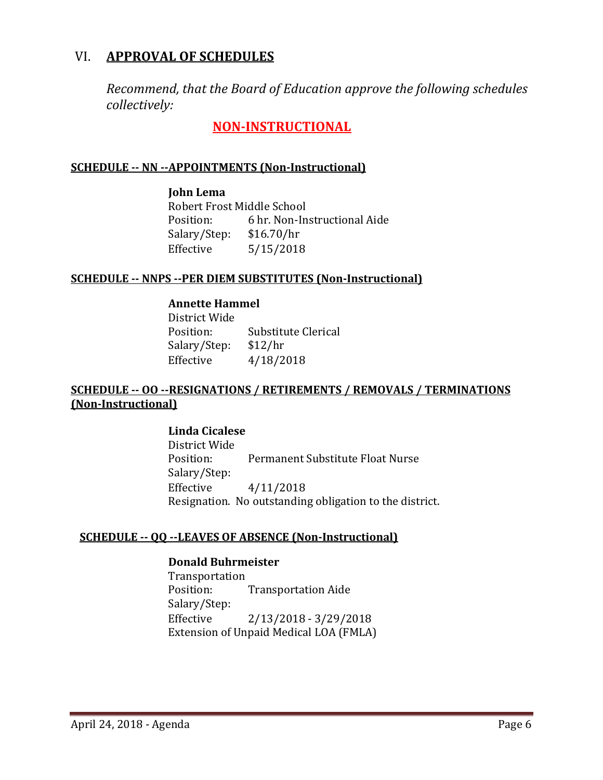## VI. **APPROVAL OF SCHEDULES**

*Recommend, that the Board of Education approve the following schedules collectively:*

**NON-INSTRUCTIONAL**

#### **SCHEDULE -- NN --APPOINTMENTS (Non-Instructional)**

**John Lema** Robert Frost Middle School<br>Position: 6 hr. Non-In 6 hr. Non-Instructional Aide  $$16.70/hr$ Salary/Step:<br>Effective  $5/15/2018$ 

#### **SCHEDULE -- NNPS --PER DIEM SUBSTITUTES (Non-Instructional)**

#### **Annette Hammel**

District Wide Substitute Clerical<br>\$12/hr Salary/Step:<br>Effective Effective 4/18/2018

## **SCHEDULE -- OO --RESIGNATIONS / RETIREMENTS / REMOVALS / TERMINATIONS (Non-Instructional)**

#### **Linda Cicalese**

District Wide Permanent Substitute Float Nurse Salary/Step: Effective 4/11/2018 Resignation. No outstanding obligation to the district.

#### **SCHEDULE -- QQ --LEAVES OF ABSENCE (Non-Instructional)**

#### **Donald Buhrmeister**

Transportation<br>Position: **Transportation Aide** Salary/Step:<br>Effective Effective 2/13/2018 - 3/29/2018 Extension of Unpaid Medical LOA (FMLA)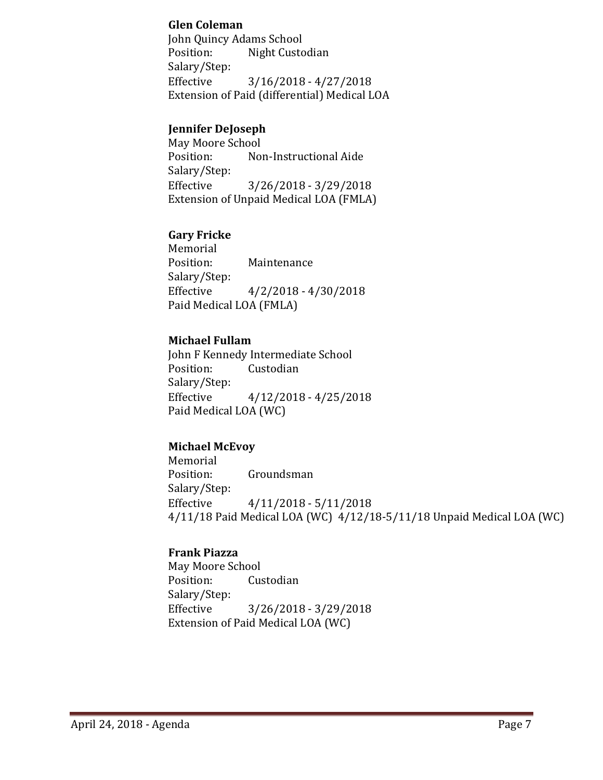#### **Glen Coleman**

John Quincy Adams School<br>Position: Night Custo Night Custodian Salary/Step:<br>Effective  $3/16/2018 - 4/27/2018$ Extension of Paid (differential) Medical LOA

#### **Jennifer DeJoseph**

May Moore School<br>Position: Nor Non-Instructional Aide Salary/Step:<br>Effective  $3/26/2018 - 3/29/2018$ Extension of Unpaid Medical LOA (FMLA)

## **Gary Fricke**

Memorial<br>Position: **Maintenance** Salary/Step:<br>Effective  $4/2/2018 - 4/30/2018$ Paid Medical LOA (FMLA)

## **Michael Fullam**

John F Kennedy Intermediate School<br>Position: Custodian Custodian Salary/Step:<br>Effective  $4/12/2018 - 4/25/2018$ Paid Medical LOA (WC)

## **Michael McEvoy**

Memorial<br>Position: Groundsman Salary/Step:<br>Effective  $4/11/2018 - 5/11/2018$ 4/11/18 Paid Medical LOA (WC) 4/12/18-5/11/18 Unpaid Medical LOA (WC)

## **Frank Piazza**

May Moore School<br>Position: Cus Custodian Salary/Step:<br>Effective Effective 3/26/2018 - 3/29/2018 Extension of Paid Medical LOA (WC)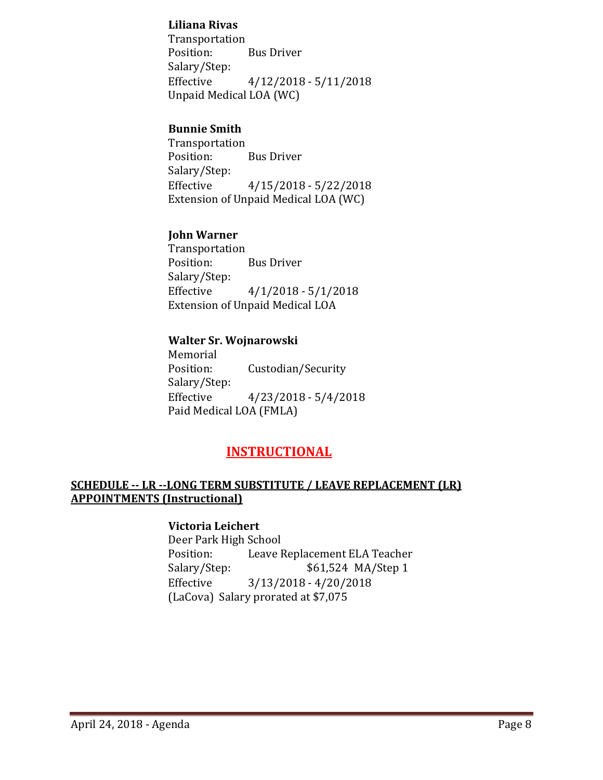#### **Liliana Rivas**

Transportation<br>Position: **Bus Driver** Salary/Step:<br>Effective  $4/12/2018 - 5/11/2018$ Unpaid Medical LOA (WC)

#### **Bunnie Smith**

Transportation **Bus Driver** Salary/Step:<br>Effective  $4/15/2018 - 5/22/2018$ Extension of Unpaid Medical LOA (WC)

## **John Warner**

Transportation **Bus Driver** Salary/Step:<br>Effective  $4/1/2018 - 5/1/2018$ Extension of Unpaid Medical LOA

## **Walter Sr. Wojnarowski**

Memorial<br>Position: Custodian/Security Salary/Step:<br>Effective  $4/23/2018 - 5/4/2018$ Paid Medical LOA (FMLA)

## **INSTRUCTIONAL**

## **SCHEDULE -- LR --LONG TERM SUBSTITUTE / LEAVE REPLACEMENT (LR) APPOINTMENTS (Instructional)**

## **Victoria Leichert**

Deer Park High School Position: Leave Replacement ELA Teacher<br>Salary/Step: \$61,524 MA/Step 1 \$61,524 MA/Step 1 Effective 3/13/2018 - 4/20/2018 (LaCova) Salary prorated at \$7,075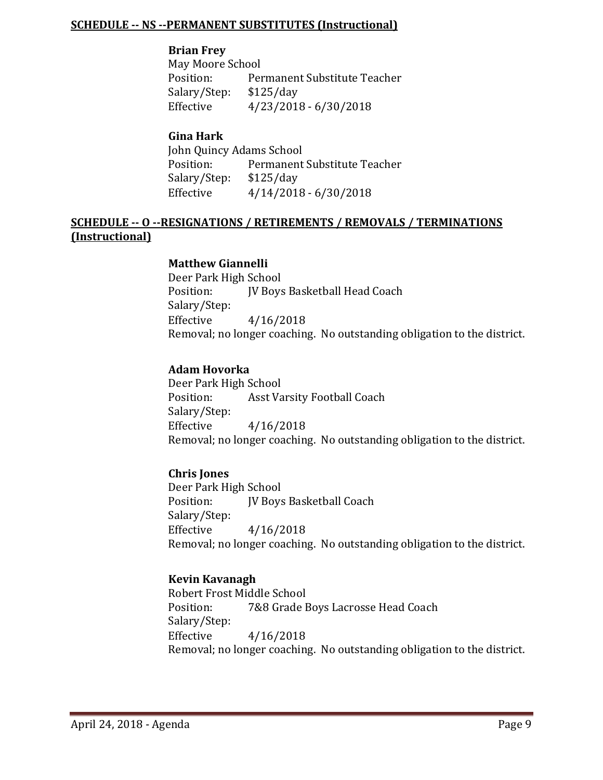#### **SCHEDULE -- NS --PERMANENT SUBSTITUTES (Instructional)**

#### **Brian Frey**

May Moore School<br>Position: Per Permanent Substitute Teacher<br>\$125/day Salary/Step:<br>Effective  $4/23/2018 - 6/30/2018$ 

## **Gina Hark**

John Quincy Adams School<br>Position: Permanent Permanent Substitute Teacher<br>\$125/day Salary/Step:<br>Effective  $4/14/2018 - 6/30/2018$ 

## **SCHEDULE -- O --RESIGNATIONS / RETIREMENTS / REMOVALS / TERMINATIONS (Instructional)**

#### **Matthew Giannelli**

Deer Park High School<br>Position: [V Boys JV Boys Basketball Head Coach Salary/Step:  $4/16/2018$ Removal; no longer coaching. No outstanding obligation to the district.

#### **Adam Hovorka**

Deer Park High School<br>Position: Asst Va Asst Varsity Football Coach Salary/Step: Effective 4/16/2018 Removal; no longer coaching. No outstanding obligation to the district.

#### **Chris Jones**

Deer Park High School<br>Position: IV Bovs **IV Boys Basketball Coach** Salary/Step: Effective 4/16/2018 Removal; no longer coaching. No outstanding obligation to the district.

#### **Kevin Kavanagh**

Robert Frost Middle School<br>Position: 7&8 Grade E 7&8 Grade Boys Lacrosse Head Coach Salary/Step:<br>Effective  $4/16/2018$ Removal; no longer coaching. No outstanding obligation to the district.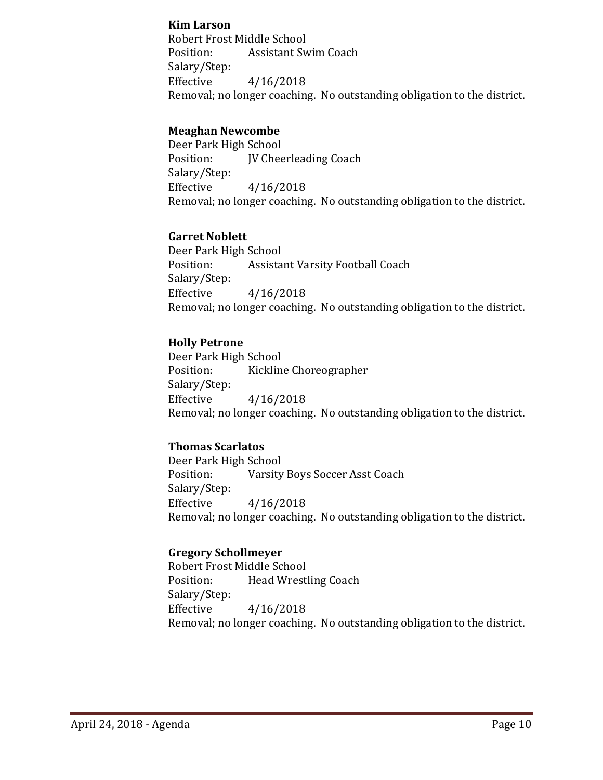#### **Kim Larson**

Robert Frost Middle School Position: Assistant Swim Coach Salary/Step: Effective 4/16/2018 Removal; no longer coaching. No outstanding obligation to the district.

#### **Meaghan Newcombe**

Deer Park High School **IV Cheerleading Coach** Salary/Step: Effective 4/16/2018 Removal; no longer coaching. No outstanding obligation to the district.

#### **Garret Noblett**

Deer Park High School Assistant Varsity Football Coach Salary/Step: Effective 4/16/2018 Removal; no longer coaching. No outstanding obligation to the district.

#### **Holly Petrone**

Deer Park High School<br>Position: Kicklin Kickline Choreographer Salary/Step: Effective 4/16/2018 Removal; no longer coaching. No outstanding obligation to the district.

#### **Thomas Scarlatos**

Deer Park High School<br>Position: Varsity Varsity Boys Soccer Asst Coach Salary/Step:  $4/16/2018$ Removal; no longer coaching. No outstanding obligation to the district.

#### **Gregory Schollmeyer**

Robert Frost Middle School<br>Position: Head Wrest Head Wrestling Coach Salary/Step: Effective 4/16/2018 Removal; no longer coaching. No outstanding obligation to the district.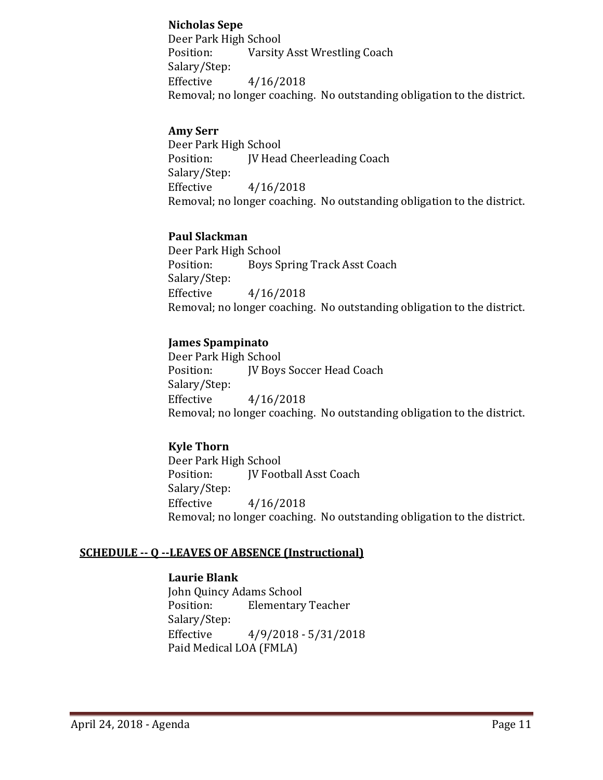#### **Nicholas Sepe**

Deer Park High School Position: Varsity Asst Wrestling Coach Salary/Step: Effective 4/16/2018 Removal; no longer coaching. No outstanding obligation to the district.

#### **Amy Serr**

Deer Park High School<br>Position: IV Head **IV Head Cheerleading Coach** Salary/Step: Effective 4/16/2018 Removal; no longer coaching. No outstanding obligation to the district.

#### **Paul Slackman**

Deer Park High School<br>Position: Boys St Boys Spring Track Asst Coach Salary/Step: Effective 4/16/2018 Removal; no longer coaching. No outstanding obligation to the district.

#### **James Spampinato**

Deer Park High School<br>Position: [V Boys JV Boys Soccer Head Coach Salary/Step: Effective 4/16/2018 Removal; no longer coaching. No outstanding obligation to the district.

#### **Kyle Thorn**

Deer Park High School<br>Position: **IV Foot JV Football Asst Coach** Salary/Step: Effective 4/16/2018 Removal; no longer coaching. No outstanding obligation to the district.

#### **SCHEDULE -- Q --LEAVES OF ABSENCE (Instructional)**

#### **Laurie Blank**

John Quincy Adams School<br>Position: Elementary **Elementary Teacher** Salary/Step:  $4/9/2018 - 5/31/2018$ Paid Medical LOA (FMLA)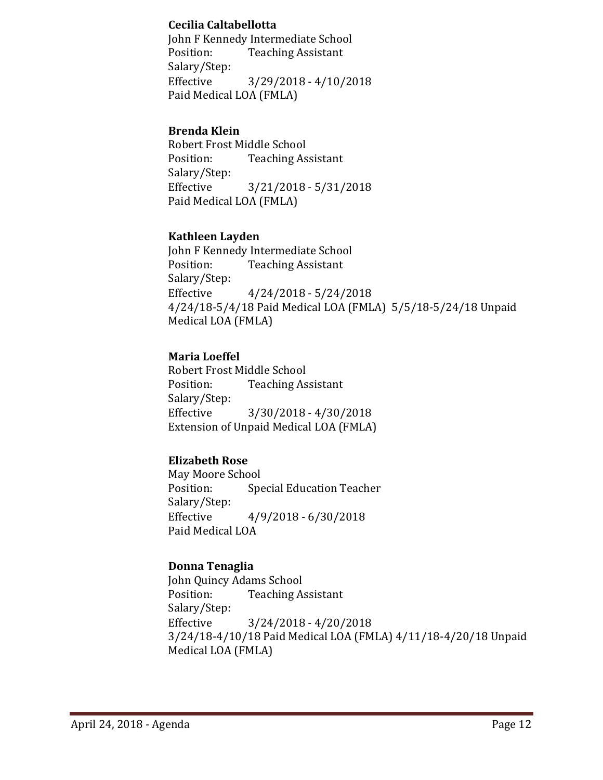#### **Cecilia Caltabellotta**

John F Kennedy Intermediate School Position: Teaching Assistant Salary/Step:<br>Effective  $3/29/2018 - 4/10/2018$ Paid Medical LOA (FMLA)

## **Brenda Klein**

Robert Frost Middle School<br>Position: Teaching As **Teaching Assistant** Salary/Step:<br>Effective Effective 3/21/2018 - 5/31/2018 Paid Medical LOA (FMLA)

## **Kathleen Layden**

John F Kennedy Intermediate School<br>Position: Teaching Assistant **Teaching Assistant** Salary/Step:  $4/24/2018 - 5/24/2018$ 4/24/18-5/4/18 Paid Medical LOA (FMLA) 5/5/18-5/24/18 Unpaid Medical LOA (FMLA)

## **Maria Loeffel**

Robert Frost Middle School<br>Position: Teaching As **Teaching Assistant** Salary/Step:<br>Effective  $3/30/2018 - 4/30/2018$ Extension of Unpaid Medical LOA (FMLA)

## **Elizabeth Rose**

May Moore School<br>Position: Spe **Special Education Teacher** Salary/Step:<br>Effective Effective 4/9/2018 - 6/30/2018 Paid Medical LOA

## **Donna Tenaglia**

John Quincy Adams School<br>Position: Teaching A **Teaching Assistant** Salary/Step:<br>Effective  $3/24/2018 - 4/20/2018$ 3/24/18-4/10/18 Paid Medical LOA (FMLA) 4/11/18-4/20/18 Unpaid Medical LOA (FMLA)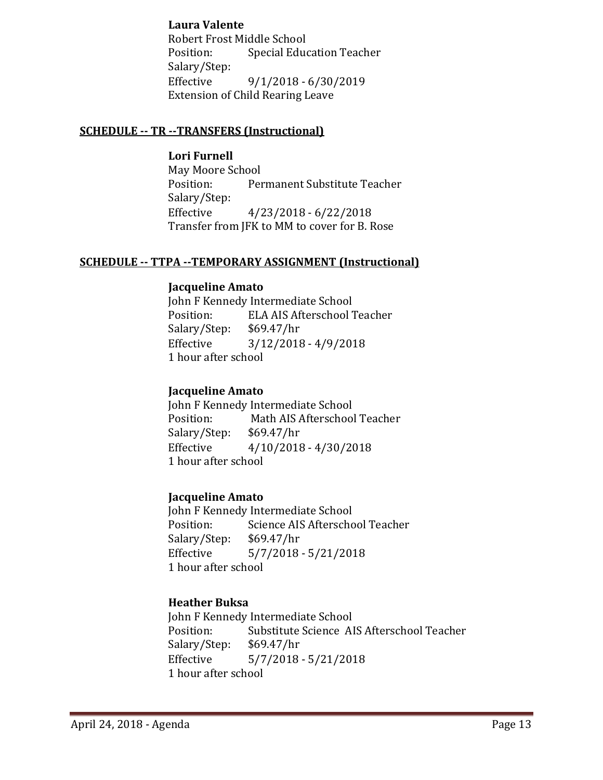## **Laura Valente**

Robert Frost Middle School Position: Special Education Teacher Salary/Step:<br>Effective Effective 9/1/2018 - 6/30/2019 Extension of Child Rearing Leave

#### **SCHEDULE -- TR --TRANSFERS (Instructional)**

**Lori Furnell** May Moore School<br>Position: Per Permanent Substitute Teacher Salary/Step:<br>Effective  $4/23/2018 - 6/22/2018$ Transfer from JFK to MM to cover for B. Rose

#### **SCHEDULE -- TTPA --TEMPORARY ASSIGNMENT (Instructional)**

#### **Jacqueline Amato**

John F Kennedy Intermediate School<br>Position: ELA AIS Afterschool 7 ELA AIS Afterschool Teacher<br>\$69.47/hr Salary/Step:<br>Effective  $3/12/2018 - 4/9/2018$ 1 hour after school

#### **Jacqueline Amato**

John F Kennedy Intermediate School<br>Position: Math AIS Afterschool Math AIS Afterschool Teacher<br>\$69.47/hr Salary/Step:<br>Effective  $4/10/2018 - 4/30/2018$ 1 hour after school

#### **Jacqueline Amato**

John F Kennedy Intermediate School<br>Position: Science AIS Afterscho Science AIS Afterschool Teacher<br>\$69.47/hr Salary/Step:<br>Effective  $5/7/2018 - 5/21/2018$ 1 hour after school

## **Heather Buksa**

John F Kennedy Intermediate School<br>Position: Substitute Science Al Substitute Science AIS Afterschool Teacher<br>\$69.47/hr Salary/Step: Effective 5/7/2018 - 5/21/2018 1 hour after school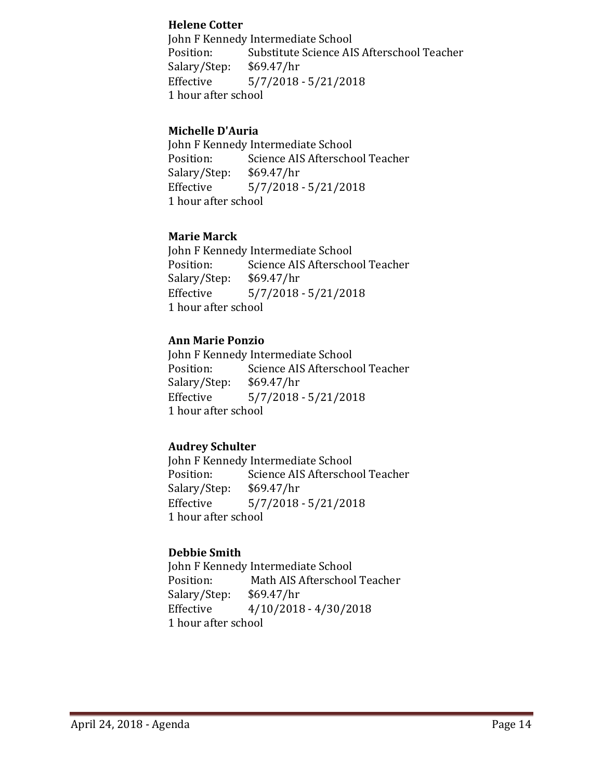#### **Helene Cotter**

John F Kennedy Intermediate School<br>Position: Substitute Science AI Substitute Science AIS Afterschool Teacher<br>\$69.47/hr Salary/Step:<br>Effective  $5/7/2018 - 5/21/2018$ 1 hour after school

#### **Michelle D'Auria**

John F Kennedy Intermediate School<br>Position: Science AIS Afterscho Science AIS Afterschool Teacher<br>\$69.47/hr Salary/Step:<br>Effective  $5/7/2018 - 5/21/2018$ 1 hour after school

## **Marie Marck**

John F Kennedy Intermediate School<br>Position: Science AIS Afterscho Science AIS Afterschool Teacher<br>\$69.47/hr Salary/Step:<br>Effective  $5/7/2018 - 5/21/2018$ 1 hour after school

## **Ann Marie Ponzio**

John F Kennedy Intermediate School<br>Position: Science AIS Afterscho Science AIS Afterschool Teacher<br>\$69.47/hr Salary/Step:<br>Effective  $5/7/2018 - 5/21/2018$ 1 hour after school

#### **Audrey Schulter**

John F Kennedy Intermediate School<br>Position: Science AIS Afterscho Science AIS Afterschool Teacher<br>\$69.47/hr Salary/Step:<br>Effective  $5/7/2018 - 5/21/2018$ 1 hour after school

## **Debbie Smith**

John F Kennedy Intermediate School<br>Position: Math AIS Afterschoo Math AIS Afterschool Teacher<br>\$69.47/hr Salary/Step:<br>Effective  $4/10/2018 - 4/30/2018$ 1 hour after school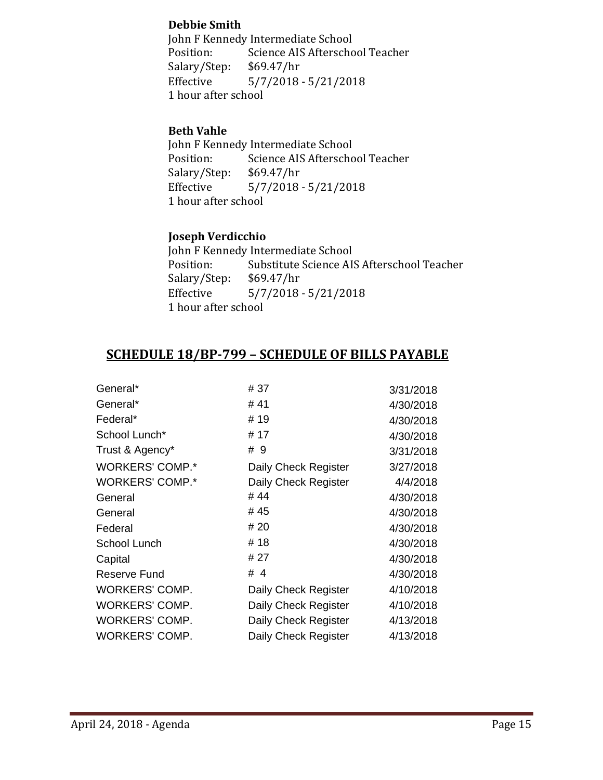## **Debbie Smith**

John F Kennedy Intermediate School<br>Position: Science AIS Afterscho Science AIS Afterschool Teacher<br>\$69.47/hr Salary/Step:<br>Effective  $5/7/2018 - 5/21/2018$ 1 hour after school

## **Beth Vahle**

John F Kennedy Intermediate School<br>Position: Science AIS Afterscho Science AIS Afterschool Teacher<br>\$69.47/hr Salary/Step:<br>Effective  $5/7/2018 - 5/21/2018$ 1 hour after school

## **Joseph Verdicchio**

John F Kennedy Intermediate School<br>Position: Substitute Science AI Substitute Science AIS Afterschool Teacher<br>\$69.47/hr Salary/Step:<br>Effective  $5/7/2018 - 5/21/2018$ 1 hour after school

## **SCHEDULE 18/BP-799 – SCHEDULE OF BILLS PAYABLE**

| General*               | # 37                 | 3/31/2018 |
|------------------------|----------------------|-----------|
| General*               | #41                  | 4/30/2018 |
| Federal*               | # 19                 | 4/30/2018 |
| School Lunch*          | # 17                 | 4/30/2018 |
| Trust & Agency*        | # 9                  | 3/31/2018 |
| <b>WORKERS' COMP.*</b> | Daily Check Register | 3/27/2018 |
| <b>WORKERS' COMP.*</b> | Daily Check Register | 4/4/2018  |
| General                | #44                  | 4/30/2018 |
| General                | # 45                 | 4/30/2018 |
| Federal                | # 20                 | 4/30/2018 |
| School Lunch           | #18                  | 4/30/2018 |
| Capital                | # 27                 | 4/30/2018 |
| Reserve Fund           | #4                   | 4/30/2018 |
| <b>WORKERS' COMP.</b>  | Daily Check Register | 4/10/2018 |
| <b>WORKERS' COMP.</b>  | Daily Check Register | 4/10/2018 |
| <b>WORKERS' COMP.</b>  | Daily Check Register | 4/13/2018 |
| WORKERS' COMP.         | Daily Check Register | 4/13/2018 |
|                        |                      |           |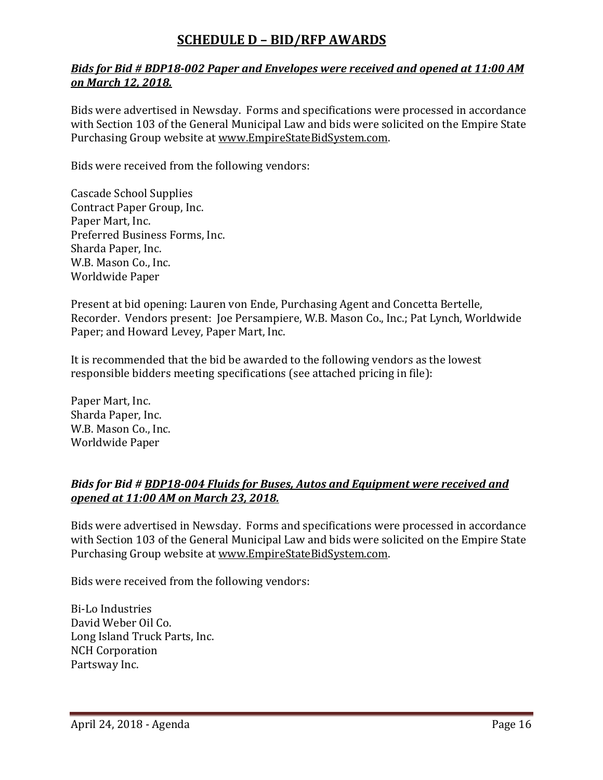## **SCHEDULE D – BID/RFP AWARDS**

## *Bids for Bid # BDP18-002 Paper and Envelopes were received and opened at 11:00 AM on March 12, 2018.*

Bids were advertised in Newsday. Forms and specifications were processed in accordance with Section 103 of the General Municipal Law and bids were solicited on the Empire State Purchasing Group website at [www.EmpireStateBidSystem.com.](http://www.empirestatebidsystem.com/)

Bids were received from the following vendors:

Cascade School Supplies Contract Paper Group, Inc. Paper Mart, Inc. Preferred Business Forms, Inc. Sharda Paper, Inc. W.B. Mason Co., Inc. Worldwide Paper

Present at bid opening: Lauren von Ende, Purchasing Agent and Concetta Bertelle, Recorder. Vendors present: Joe Persampiere, W.B. Mason Co., Inc.; Pat Lynch, Worldwide Paper; and Howard Levey, Paper Mart, Inc.

It is recommended that the bid be awarded to the following vendors as the lowest responsible bidders meeting specifications (see attached pricing in file):

Paper Mart, Inc. Sharda Paper, Inc. W.B. Mason Co., Inc. Worldwide Paper

## *Bids for Bid # BDP18-004 Fluids for Buses, Autos and Equipment were received and opened at 11:00 AM on March 23, 2018.*

Bids were advertised in Newsday. Forms and specifications were processed in accordance with Section 103 of the General Municipal Law and bids were solicited on the Empire State Purchasing Group website at [www.EmpireStateBidSystem.com.](http://www.empirestatebidsystem.com/)

Bids were received from the following vendors:

Bi-Lo Industries David Weber Oil Co. Long Island Truck Parts, Inc. NCH Corporation Partsway Inc.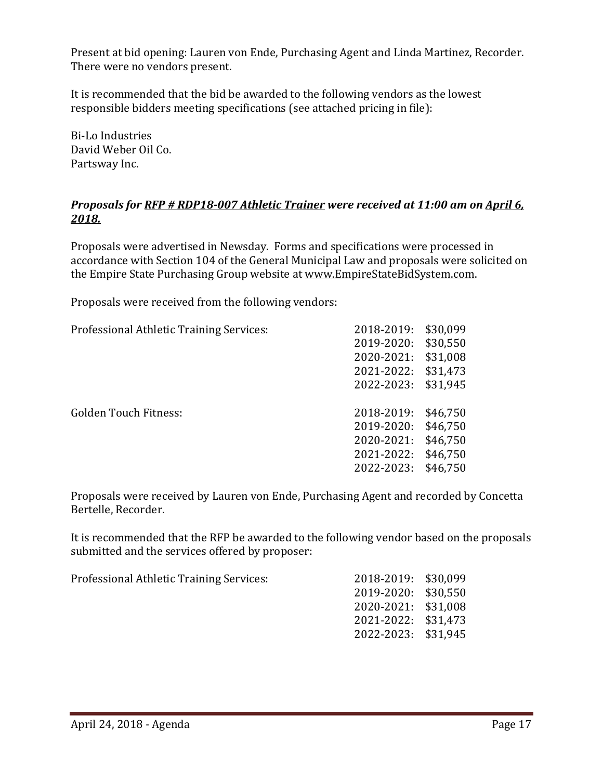Present at bid opening: Lauren von Ende, Purchasing Agent and Linda Martinez, Recorder. There were no vendors present.

It is recommended that the bid be awarded to the following vendors as the lowest responsible bidders meeting specifications (see attached pricing in file):

Bi-Lo Industries David Weber Oil Co. Partsway Inc.

## *Proposals for RFP # RDP18-007 Athletic Trainer were received at 11:00 am on April 6, 2018.*

Proposals were advertised in Newsday. Forms and specifications were processed in accordance with Section 104 of the General Municipal Law and proposals were solicited on the Empire State Purchasing Group website at [www.EmpireStateBidSystem.com.](http://www.empirestatebidsystem.com/)

Proposals were received from the following vendors:

| Professional Athletic Training Services: | 2018-2019: | \$30,099 |
|------------------------------------------|------------|----------|
|                                          | 2019-2020: | \$30,550 |
|                                          | 2020-2021: | \$31,008 |
|                                          | 2021-2022: | \$31,473 |
|                                          | 2022-2023: | \$31,945 |
|                                          |            |          |
| <b>Golden Touch Fitness:</b>             | 2018-2019: | \$46,750 |
|                                          | 2019-2020: | \$46,750 |
|                                          | 2020-2021: | \$46,750 |
|                                          | 2021-2022: | \$46,750 |
|                                          | 2022-2023: | \$46,750 |
|                                          |            |          |

Proposals were received by Lauren von Ende, Purchasing Agent and recorded by Concetta Bertelle, Recorder.

It is recommended that the RFP be awarded to the following vendor based on the proposals submitted and the services offered by proposer:

| Professional Athletic Training Services: | 2018-2019: \$30,099 |  |
|------------------------------------------|---------------------|--|
|                                          | 2019-2020: \$30.550 |  |
|                                          | 2020-2021: \$31,008 |  |
|                                          | 2021-2022: \$31,473 |  |
|                                          | 2022-2023: \$31,945 |  |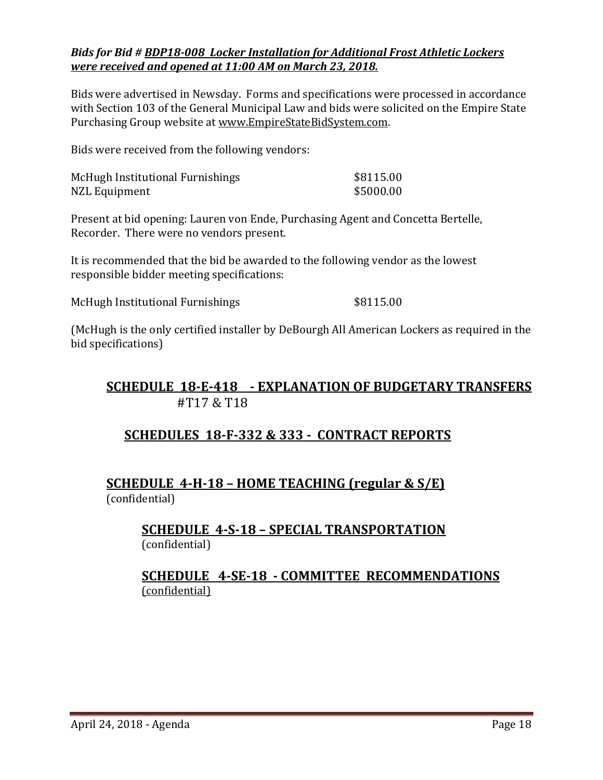#### *Bids for Bid # BDP18-008 Locker Installation for Additional Frost Athletic Lockers were received and opened at 11:00 AM on March 23, 2018.*

Bids were advertised in Newsday. Forms and specifications were processed in accordance with Section 103 of the General Municipal Law and bids were solicited on the Empire State Purchasing Group website at [www.EmpireStateBidSystem.com.](http://www.empirestatebidsystem.com/)

Bids were received from the following vendors:

| McHugh Institutional Furnishings | \$8115.00 |
|----------------------------------|-----------|
| NZL Equipment                    | \$5000.00 |

Present at bid opening: Lauren von Ende, Purchasing Agent and Concetta Bertelle, Recorder. There were no vendors present.

It is recommended that the bid be awarded to the following vendor as the lowest responsible bidder meeting specifications:

McHugh Institutional Furnishings  $$8115.00$ 

(McHugh is the only certified installer by DeBourgh All American Lockers as required in the bid specifications)

## **SCHEDULE 18-E-418 - EXPLANATION OF BUDGETARY TRANSFERS** #T17 & T18

## **SCHEDULES 18-F-332 & 333 - CONTRACT REPORTS**

## **SCHEDULE 4-H-18 – HOME TEACHING (regular & S/E)**  (confidential)

**SCHEDULE 4-S-18 – SPECIAL TRANSPORTATION**  (confidential)

## **SCHEDULE 4-SE-18 - COMMITTEE RECOMMENDATIONS** (confidential)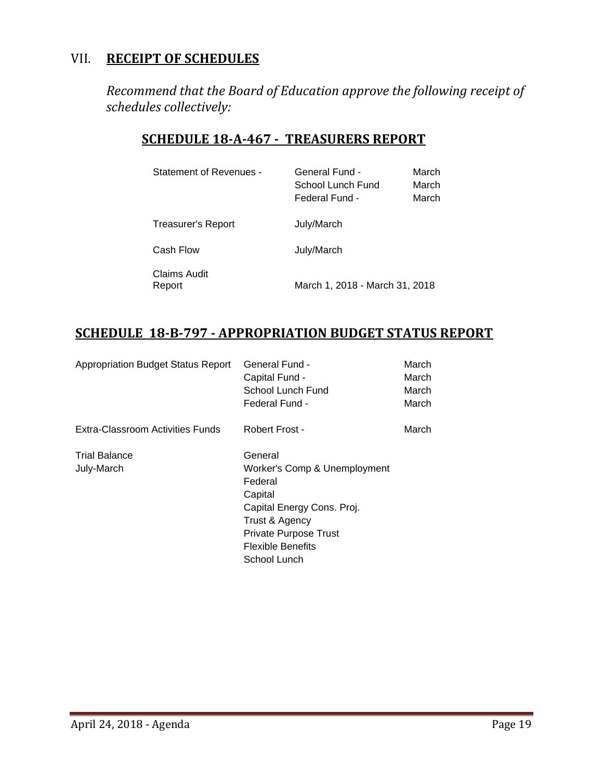## VII. **RECEIPT OF SCHEDULES**

*Recommend that the Board of Education approve the following receipt of schedules collectively:*

## **SCHEDULE 18-A-467 - TREASURERS REPORT**

| Statement of Revenues -   | General Fund -<br>School Lunch Fund<br>Federal Fund - | March<br>March<br>March |
|---------------------------|-------------------------------------------------------|-------------------------|
| <b>Treasurer's Report</b> | July/March                                            |                         |
| Cash Flow                 | July/March                                            |                         |
| Claims Audit<br>Report    | March 1, 2018 - March 31, 2018                        |                         |

## **SCHEDULE 18-B-797 - APPROPRIATION BUDGET STATUS REPORT**

| <b>Appropriation Budget Status Report</b> | General Fund -<br>Capital Fund -<br>School Lunch Fund<br>Federal Fund -                                                                                                                   | March<br>March<br>March<br>March |
|-------------------------------------------|-------------------------------------------------------------------------------------------------------------------------------------------------------------------------------------------|----------------------------------|
| Extra-Classroom Activities Funds          | Robert Frost -                                                                                                                                                                            | March                            |
| <b>Trial Balance</b><br>July-March        | General<br>Worker's Comp & Unemployment<br>Federal<br>Capital<br>Capital Energy Cons. Proj.<br>Trust & Agency<br><b>Private Purpose Trust</b><br><b>Flexible Benefits</b><br>School Lunch |                                  |